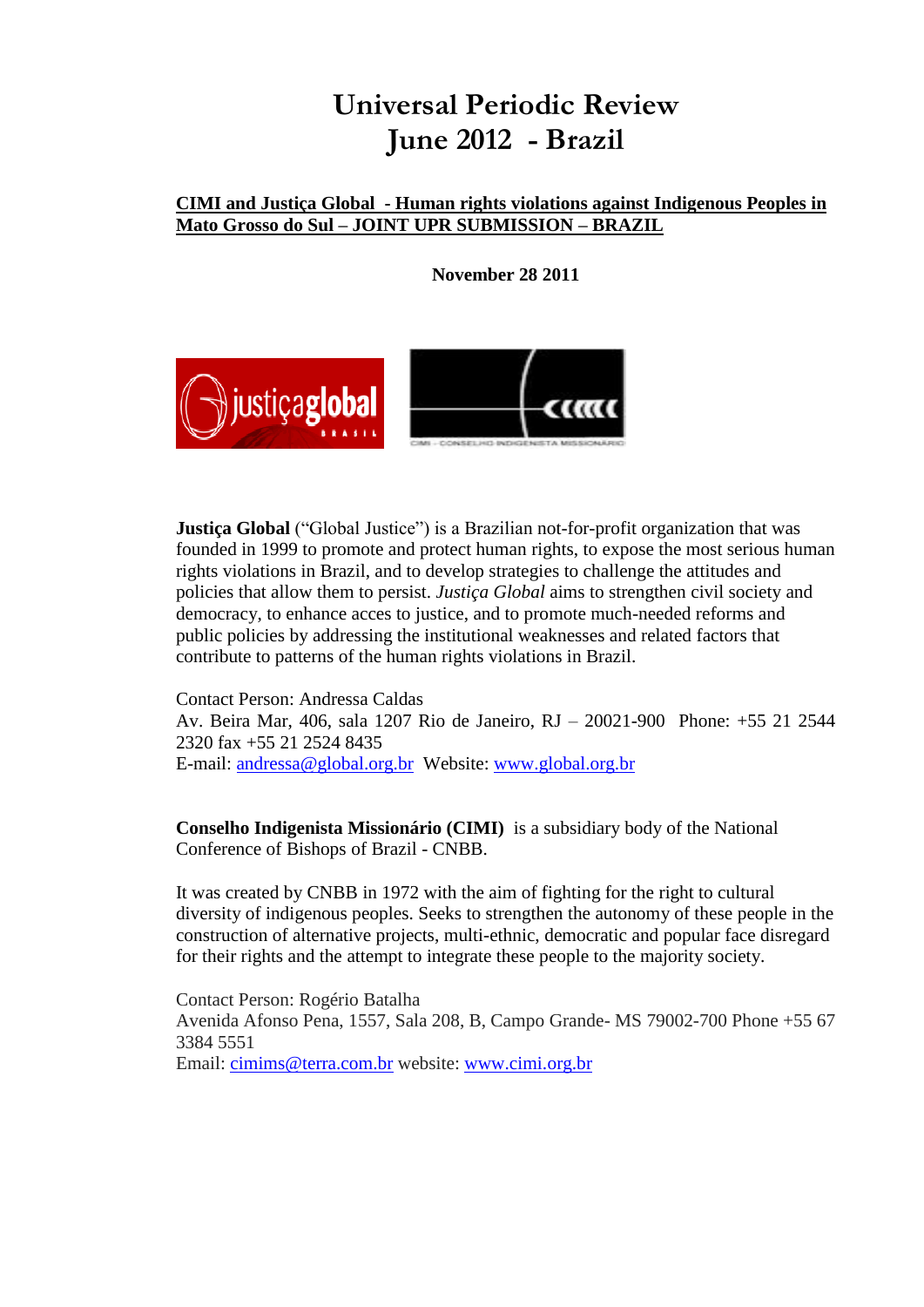# **Universal Periodic Review June 2012 - Brazil**

## **CIMI and Justiça Global - Human rights violations against Indigenous Peoples in Mato Grosso do Sul – JOINT UPR SUBMISSION – BRAZIL**

**November 28 2011**



**Justiça Global** ("Global Justice") is a Brazilian not-for-profit organization that was founded in 1999 to promote and protect human rights, to expose the most serious human rights violations in Brazil, and to develop strategies to challenge the attitudes and policies that allow them to persist. *Justiça Global* aims to strengthen civil society and democracy, to enhance acces to justice, and to promote much-needed reforms and public policies by addressing the institutional weaknesses and related factors that contribute to patterns of the human rights violations in Brazil.

Contact Person: Andressa Caldas Av. Beira Mar, 406, sala 1207 Rio de Janeiro, RJ – 20021-900 Phone: +55 21 2544 2320 fax +55 21 2524 8435 E-mail: [andressa@global.org.br](mailto:andressa@global.org.br) Website: [www.global.org.br](http://www.global.org.br/) 

**Conselho Indigenista Missionário (CIMI)** is a subsidiary body of the National Conference of Bishops of Brazil - CNBB.

It was created by CNBB in 1972 with the aim of fighting for the right to cultural diversity of indigenous peoples. Seeks to strengthen the autonomy of these people in the construction of alternative projects, multi-ethnic, democratic and popular face disregard for their rights and the attempt to integrate these people to the majority society.

Contact Person: Rogério Batalha Avenida Afonso Pena, 1557, Sala 208, B, Campo Grande- MS 79002-700 Phone +55 67 3384 5551 Email: [cimims@terra.com.br](mailto:cimims@terra.com.br) website: [www.cimi.org.br](http://www.cimi.org.br/)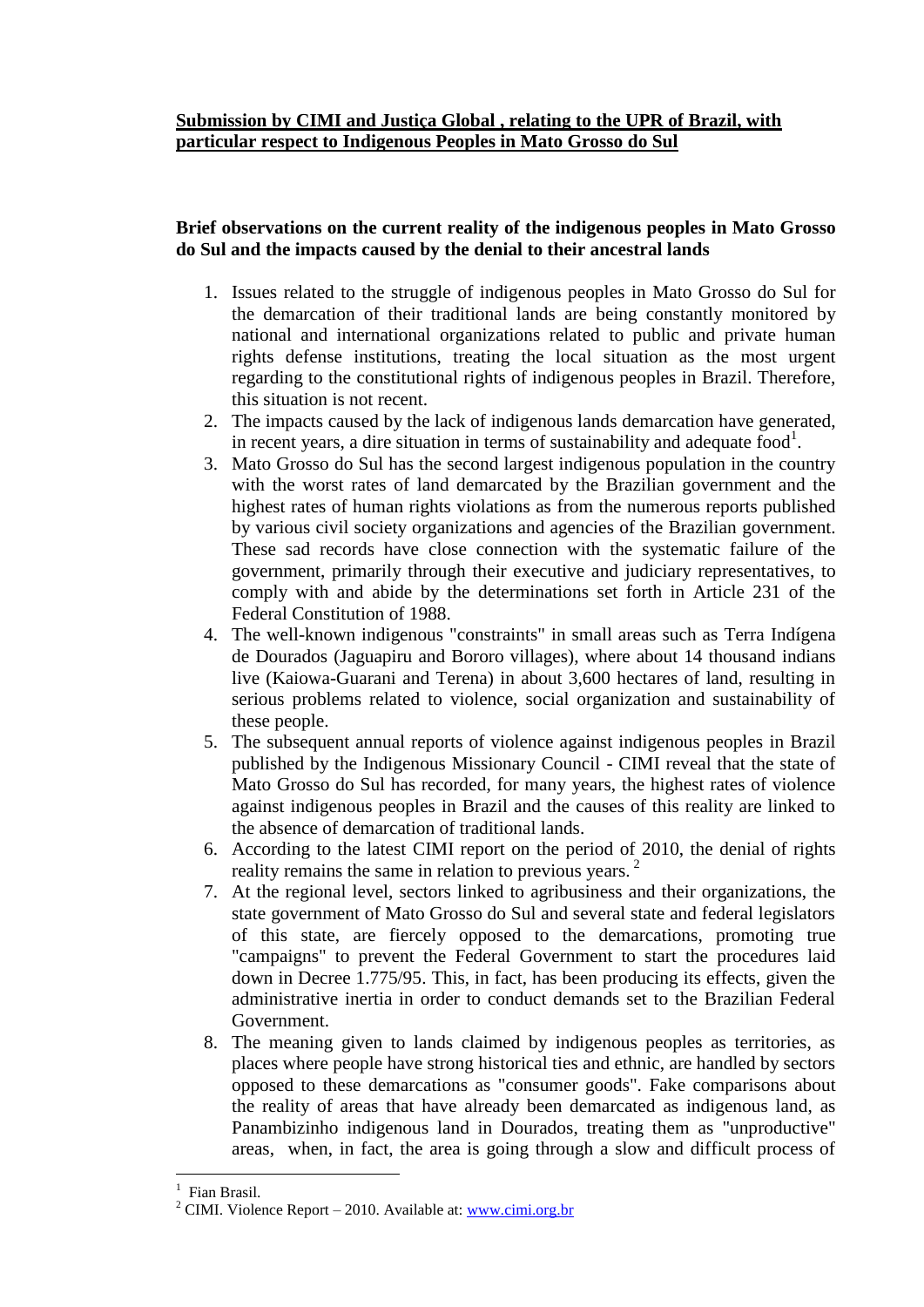## **Brief observations on the current reality of the indigenous peoples in Mato Grosso do Sul and the impacts caused by the denial to their ancestral lands**

- 1. Issues related to the struggle of indigenous peoples in Mato Grosso do Sul for the demarcation of their traditional lands are being constantly monitored by national and international organizations related to public and private human rights defense institutions, treating the local situation as the most urgent regarding to the constitutional rights of indigenous peoples in Brazil. Therefore, this situation is not recent.
- 2. The impacts caused by the lack of indigenous lands demarcation have generated, in recent years, a dire situation in terms of sustainability and adequate food<sup>1</sup>.
- 3. Mato Grosso do Sul has the second largest indigenous population in the country with the worst rates of land demarcated by the Brazilian government and the highest rates of human rights violations as from the numerous reports published by various civil society organizations and agencies of the Brazilian government. These sad records have close connection with the systematic failure of the government, primarily through their executive and judiciary representatives, to comply with and abide by the determinations set forth in Article 231 of the Federal Constitution of 1988.
- 4. The well-known indigenous "constraints" in small areas such as Terra Indígena de Dourados (Jaguapiru and Bororo villages), where about 14 thousand indians live (Kaiowa-Guarani and Terena) in about 3,600 hectares of land, resulting in serious problems related to violence, social organization and sustainability of these people.
- 5. The subsequent annual reports of violence against indigenous peoples in Brazil published by the Indigenous Missionary Council - CIMI reveal that the state of Mato Grosso do Sul has recorded, for many years, the highest rates of violence against indigenous peoples in Brazil and the causes of this reality are linked to the absence of demarcation of traditional lands.
- 6. According to the latest CIMI report on the period of 2010, the denial of rights reality remains the same in relation to previous years.<sup>2</sup>
- 7. At the regional level, sectors linked to agribusiness and their organizations, the state government of Mato Grosso do Sul and several state and federal legislators of this state, are fiercely opposed to the demarcations, promoting true "campaigns" to prevent the Federal Government to start the procedures laid down in Decree 1.775/95. This, in fact, has been producing its effects, given the administrative inertia in order to conduct demands set to the Brazilian Federal Government.
- 8. The meaning given to lands claimed by indigenous peoples as territories, as places where people have strong historical ties and ethnic, are handled by sectors opposed to these demarcations as "consumer goods". Fake comparisons about the reality of areas that have already been demarcated as indigenous land, as Panambizinho indigenous land in Dourados, treating them as "unproductive" areas, when, in fact, the area is going through a slow and difficult process of

 $\overline{a}$ 

<sup>1</sup> Fian Brasil.

 $2$  CIMI. Violence Report – 2010. Available at: [www.cimi.org.br](http://www.cimi.org.br/)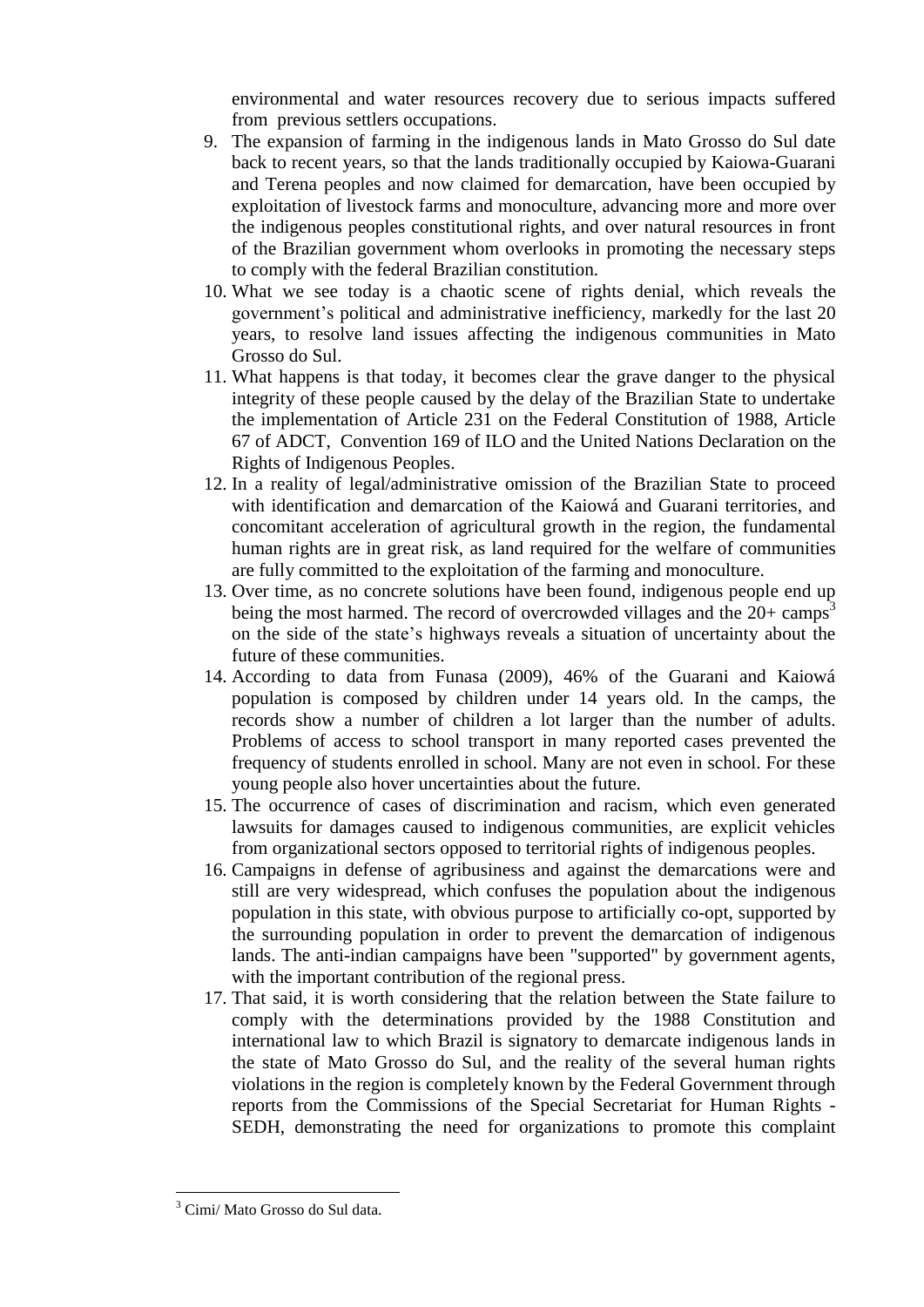environmental and water resources recovery due to serious impacts suffered from previous settlers occupations.

- 9. The expansion of farming in the indigenous lands in Mato Grosso do Sul date back to recent years, so that the lands traditionally occupied by Kaiowa-Guarani and Terena peoples and now claimed for demarcation, have been occupied by exploitation of livestock farms and monoculture, advancing more and more over the indigenous peoples constitutional rights, and over natural resources in front of the Brazilian government whom overlooks in promoting the necessary steps to comply with the federal Brazilian constitution.
- 10. What we see today is a chaotic scene of rights denial, which reveals the government's political and administrative inefficiency, markedly for the last 20 years, to resolve land issues affecting the indigenous communities in Mato Grosso do Sul.
- 11. What happens is that today, it becomes clear the grave danger to the physical integrity of these people caused by the delay of the Brazilian State to undertake the implementation of Article 231 on the Federal Constitution of 1988, Article 67 of ADCT, Convention 169 of ILO and the United Nations Declaration on the Rights of Indigenous Peoples.
- 12. In a reality of legal/administrative omission of the Brazilian State to proceed with identification and demarcation of the Kaiowá and Guarani territories, and concomitant acceleration of agricultural growth in the region, the fundamental human rights are in great risk, as land required for the welfare of communities are fully committed to the exploitation of the farming and monoculture.
- 13. Over time, as no concrete solutions have been found, indigenous people end up being the most harmed. The record of overcrowded villages and the 20+ camps<sup>3</sup> on the side of the state's highways reveals a situation of uncertainty about the future of these communities.
- 14. According to data from Funasa (2009), 46% of the Guarani and Kaiowá population is composed by children under 14 years old. In the camps, the records show a number of children a lot larger than the number of adults. Problems of access to school transport in many reported cases prevented the frequency of students enrolled in school. Many are not even in school. For these young people also hover uncertainties about the future.
- 15. The occurrence of cases of discrimination and racism, which even generated lawsuits for damages caused to indigenous communities, are explicit vehicles from organizational sectors opposed to territorial rights of indigenous peoples.
- 16. Campaigns in defense of agribusiness and against the demarcations were and still are very widespread, which confuses the population about the indigenous population in this state, with obvious purpose to artificially co-opt, supported by the surrounding population in order to prevent the demarcation of indigenous lands. The anti-indian campaigns have been "supported" by government agents, with the important contribution of the regional press.
- 17. That said, it is worth considering that the relation between the State failure to comply with the determinations provided by the 1988 Constitution and international law to which Brazil is signatory to demarcate indigenous lands in the state of Mato Grosso do Sul, and the reality of the several human rights violations in the region is completely known by the Federal Government through reports from the Commissions of the Special Secretariat for Human Rights - SEDH, demonstrating the need for organizations to promote this complaint

 $\overline{a}$ 

<sup>3</sup> Cimi/ Mato Grosso do Sul data.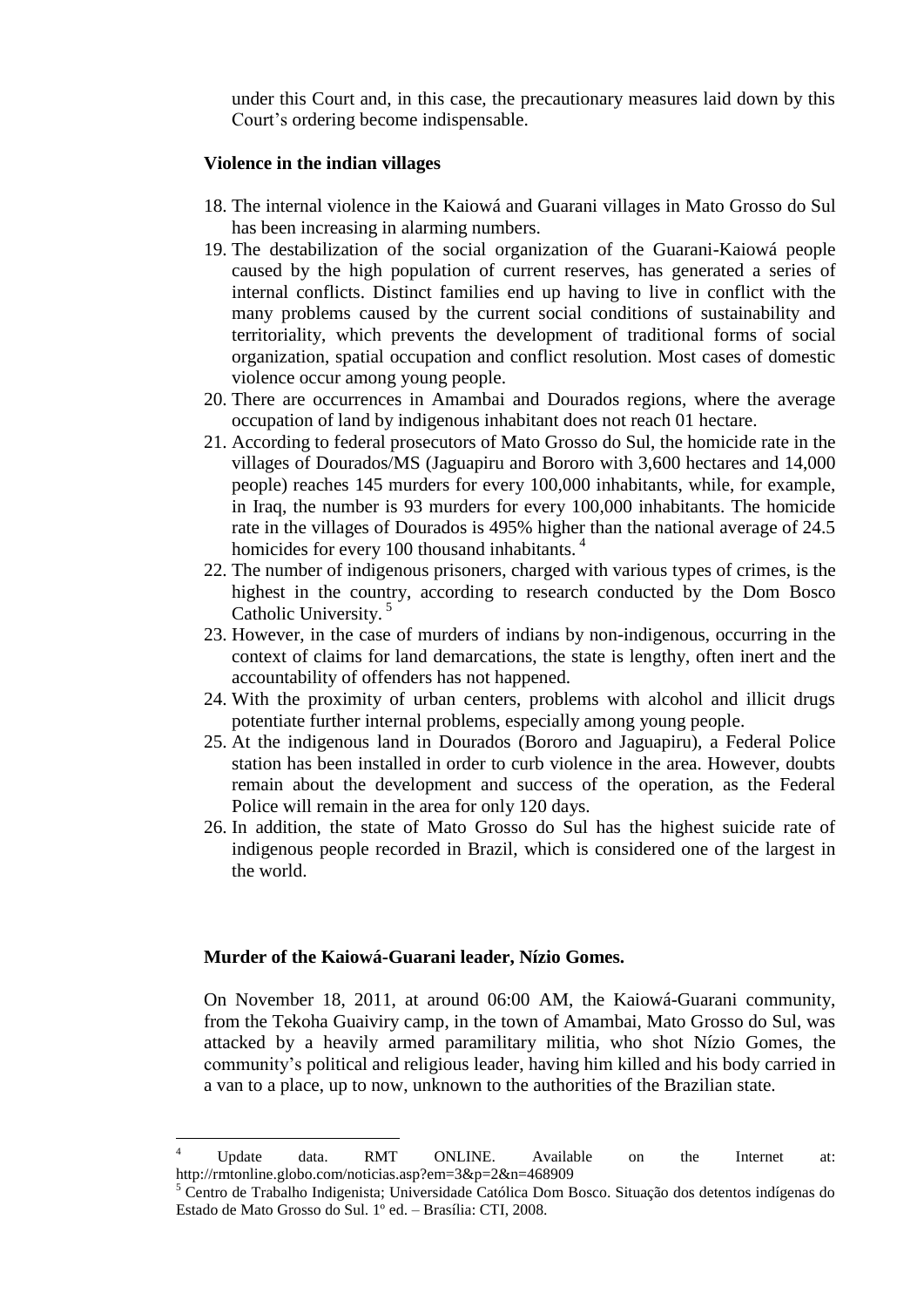under this Court and, in this case, the precautionary measures laid down by this Court's ordering become indispensable.

### **Violence in the indian villages**

- 18. The internal violence in the Kaiowá and Guarani villages in Mato Grosso do Sul has been increasing in alarming numbers.
- 19. The destabilization of the social organization of the Guarani-Kaiowá people caused by the high population of current reserves, has generated a series of internal conflicts. Distinct families end up having to live in conflict with the many problems caused by the current social conditions of sustainability and territoriality, which prevents the development of traditional forms of social organization, spatial occupation and conflict resolution. Most cases of domestic violence occur among young people.
- 20. There are occurrences in Amambai and Dourados regions, where the average occupation of land by indigenous inhabitant does not reach 01 hectare.
- 21. According to federal prosecutors of Mato Grosso do Sul, the homicide rate in the villages of Dourados/MS (Jaguapiru and Bororo with 3,600 hectares and 14,000 people) reaches 145 murders for every 100,000 inhabitants, while, for example, in Iraq, the number is 93 murders for every 100,000 inhabitants. The homicide rate in the villages of Dourados is 495% higher than the national average of 24.5 homicides for every 100 thousand inhabitants.<sup>4</sup>
- 22. The number of indigenous prisoners, charged with various types of crimes, is the highest in the country, according to research conducted by the Dom Bosco Catholic University.<sup>5</sup>
- 23. However, in the case of murders of indians by non-indigenous, occurring in the context of claims for land demarcations, the state is lengthy, often inert and the accountability of offenders has not happened.
- 24. With the proximity of urban centers, problems with alcohol and illicit drugs potentiate further internal problems, especially among young people.
- 25. At the indigenous land in Dourados (Bororo and Jaguapiru), a Federal Police station has been installed in order to curb violence in the area. However, doubts remain about the development and success of the operation, as the Federal Police will remain in the area for only 120 days.
- 26. In addition, the state of Mato Grosso do Sul has the highest suicide rate of indigenous people recorded in Brazil, which is considered one of the largest in the world.

#### **Murder of the Kaiowá-Guarani leader, Nízio Gomes.**

On November 18, 2011, at around 06:00 AM, the Kaiowá-Guarani community, from the Tekoha Guaiviry camp, in the town of Amambai, Mato Grosso do Sul, was attacked by a heavily armed paramilitary militia, who shot Nízio Gomes, the community's political and religious leader, having him killed and his body carried in a van to a place, up to now, unknown to the authorities of the Brazilian state.

 $\overline{4}$ <sup>4</sup> Update data. RMT ONLINE. Available on the Internet at: http://rmtonline.globo.com/noticias.asp?em=3&p=2&n=468909

<sup>5</sup> Centro de Trabalho Indigenista; Universidade Católica Dom Bosco. Situação dos detentos indígenas do Estado de Mato Grosso do Sul. 1º ed. – Brasília: CTI, 2008.